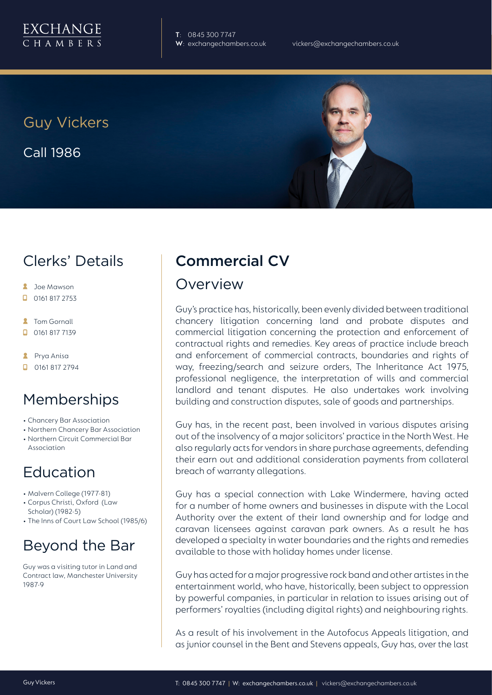

**T**: 0845 300 7747

Guy Vickers Call 1986



# Clerks' Details

- **C** Joe Mawson
- $\Box$  0161 817 2753
- **2** Tom Gornall
- 0161 817 7139
- **A** Prya Anisa
- **D** 0161 817 2794

## Memberships

- Chancery Bar Association
- Northern Chancery Bar Association
- Northern Circuit Commercial Bar Association

# Education

- Malvern College (1977-81)
- Corpus Christi, Oxford (Law Scholar) (1982-5)
- The Inns of Court Law School (1985/6)

# Beyond the Bar

Guy was a visiting tutor in Land and Contract law, Manchester University 1987-9

# Commercial CV

#### Overview

Guy's practice has, historically, been evenly divided between traditional chancery litigation concerning land and probate disputes and commercial litigation concerning the protection and enforcement of contractual rights and remedies. Key areas of practice include breach and enforcement of commercial contracts, boundaries and rights of way, freezing/search and seizure orders, The Inheritance Act 1975, professional negligence, the interpretation of wills and commercial landlord and tenant disputes. He also undertakes work involving building and construction disputes, sale of goods and partnerships.

Guy has, in the recent past, been involved in various disputes arising out of the insolvency of a major solicitors' practice in the North West. He also regularly acts for vendors in share purchase agreements, defending their earn out and additional consideration payments from collateral breach of warranty allegations.

Guy has a special connection with Lake Windermere, having acted for a number of home owners and businesses in dispute with the Local Authority over the extent of their land ownership and for lodge and caravan licensees against caravan park owners. As a result he has developed a specialty in water boundaries and the rights and remedies available to those with holiday homes under license.

Guy has acted for a major progressive rock band and other artistes in the entertainment world, who have, historically, been subject to oppression by powerful companies, in particular in relation to issues arising out of performers' royalties (including digital rights) and neighbouring rights.

As a result of his involvement in the Autofocus Appeals litigation, and as junior counsel in the Bent and Stevens appeals, Guy has, over the last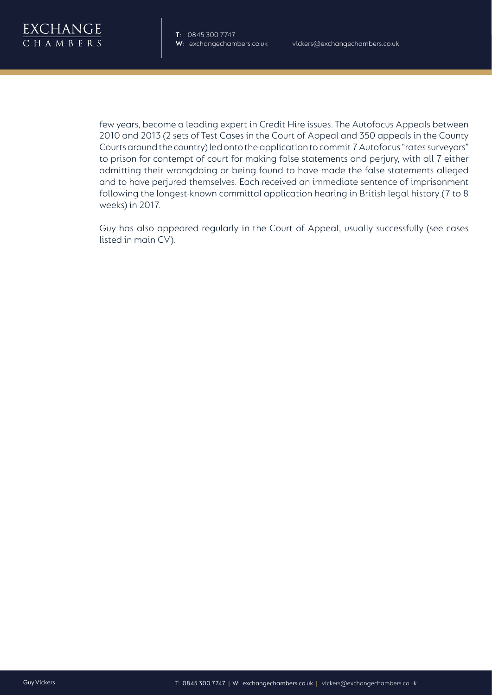

few years, become a leading expert in Credit Hire issues. The Autofocus Appeals between 2010 and 2013 (2 sets of Test Cases in the Court of Appeal and 350 appeals in the County Courts around the country) led onto the application to commit 7 Autofocus "rates surveyors" to prison for contempt of court for making false statements and perjury, with all 7 either admitting their wrongdoing or being found to have made the false statements alleged and to have perjured themselves. Each received an immediate sentence of imprisonment following the longest-known committal application hearing in British legal history (7 to 8 weeks) in 2017.

Guy has also appeared regularly in the Court of Appeal, usually successfully (see cases listed in main CV).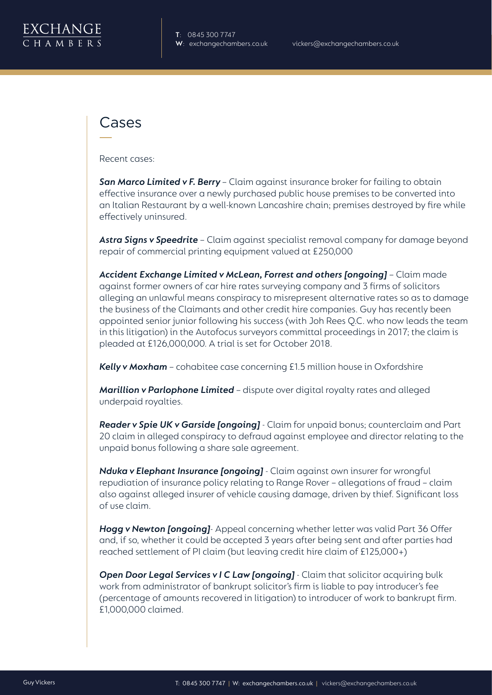

### Cases

Recent cases:

*San Marco Limited v F. Berry* – Claim against insurance broker for failing to obtain effective insurance over a newly purchased public house premises to be converted into an Italian Restaurant by a well-known Lancashire chain; premises destroyed by fire while effectively uninsured.

*Astra Signs v Speedrite* – Claim against specialist removal company for damage beyond repair of commercial printing equipment valued at £250,000

Accident Exchange Limited v McLean, Forrest and others [ongoing] - Claim made against former owners of car hire rates surveying company and 3 firms of solicitors alleging an unlawful means conspiracy to misrepresent alternative rates so as to damage the business of the Claimants and other credit hire companies. Guy has recently been appointed senior junior following his success (with Joh Rees Q.C. who now leads the team in this litigation) in the Autofocus surveyors committal proceedings in 2017; the claim is pleaded at £126,000,000. A trial is set for October 2018.

**Kelly v Moxham** - cohabitee case concerning £1.5 million house in Oxfordshire

*Marillion v Parlophone Limited* – dispute over digital royalty rates and alleged underpaid royalties.

*Reader v Spie UK v Garside [ongoing]* - Claim for unpaid bonus; counterclaim and Part 20 claim in alleged conspiracy to defraud against employee and director relating to the unpaid bonus following a share sale agreement.

*Nduka v Elephant Insurance [ongoing]* - Claim against own insurer for wrongful repudiation of insurance policy relating to Range Rover – allegations of fraud – claim also against alleged insurer of vehicle causing damage, driven by thief. Significant loss of use claim.

*Hogg v Newton [ongoing]*- Appeal concerning whether letter was valid Part 36 Offer and, if so, whether it could be accepted 3 years after being sent and after parties had reached settlement of PI claim (but leaving credit hire claim of £125,000+)

**Open Door Legal Services v I C Law [ongoing]** - Claim that solicitor acquiring bulk work from administrator of bankrupt solicitor's firm is liable to pay introducer's fee (percentage of amounts recovered in litigation) to introducer of work to bankrupt firm. £1,000,000 claimed.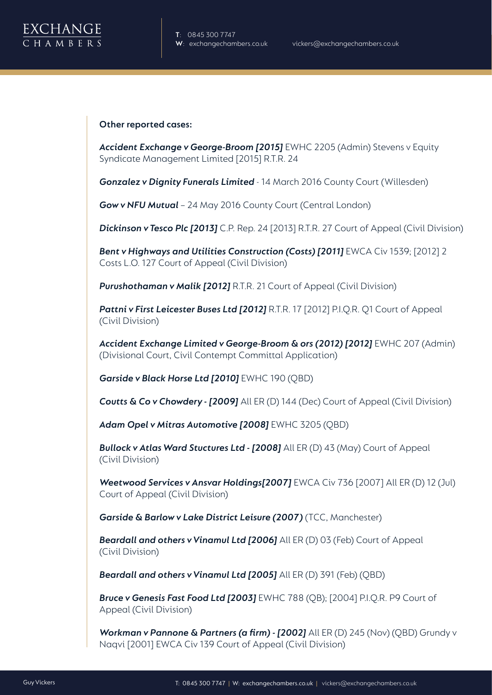

#### **Other reported cases:**

*Accident Exchange v George-Broom [2015]* EWHC 2205 (Admin) Stevens v Equity Syndicate Management Limited [2015] R.T.R. 24

*Gonzalez v Dignity Funerals Limited* - 14 March 2016 County Court (Willesden)

*Gow v NFU Mutual* – 24 May 2016 County Court (Central London)

*Dickinson v Tesco Plc [2013]* C.P. Rep. 24 [2013] R.T.R. 27 Court of Appeal (Civil Division)

*Bent v Highways and Utilities Construction (Costs) [2011]* EWCA Civ 1539; [2012] 2 Costs L.O. 127 Court of Appeal (Civil Division)

*Purushothaman v Malik [2012]* R.T.R. 21 Court of Appeal (Civil Division)

**Pattni v First Leicester Buses Ltd [2012]** R.T.R. 17 [2012] P.I.Q.R. Q1 Court of Appeal (Civil Division)

Accident Exchange Limited v George-Broom & ors (2012) [2012] EWHC 207 (Admin) (Divisional Court, Civil Contempt Committal Application)

*Garside v Black Horse Ltd [2010]* EWHC 190 (QBD)

**Coutts & Co v Chowdery - [2009]** All ER (D) 144 (Dec) Court of Appeal (Civil Division)

*Adam Opel v Mitras Automotive [2008]* EWHC 3205 (QBD)

*Bullock v Atlas Ward Stuctures Ltd - [2008]* All ER (D) 43 (May) Court of Appeal (Civil Division)

*Weetwood Services v Ansvar Holdings[2007]* EWCA Civ 736 [2007] All ER (D) 12 (Jul) Court of Appeal (Civil Division)

*Garside & Barlow v Lake District Leisure (2007)* (TCC, Manchester)

*Beardall and others v Vinamul Ltd [2006]* All ER (D) 03 (Feb) Court of Appeal (Civil Division)

*Beardall and others v Vinamul Ltd [2005]* All ER (D) 391 (Feb) (QBD)

*Bruce v Genesis Fast Food Ltd [2003]* EWHC 788 (QB); [2004] P.I.Q.R. P9 Court of Appeal (Civil Division)

*Workman v Pannone & Partners (a firm) - [2002]* All ER (D) 245 (Nov) (QBD) Grundy v Naqvi [2001] EWCA Civ 139 Court of Appeal (Civil Division)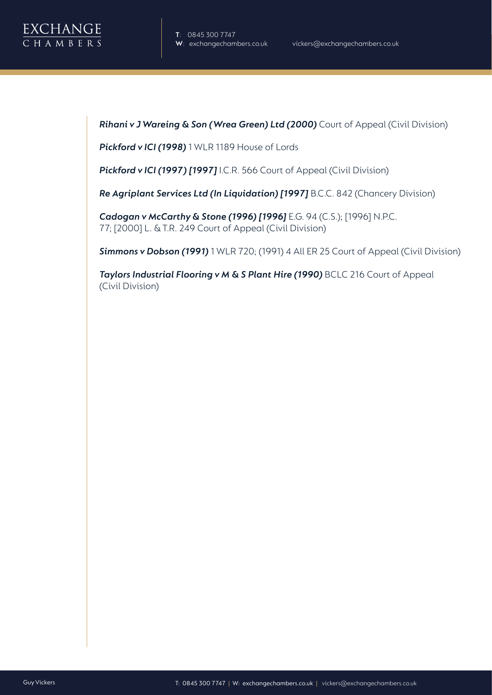

**Rihani v J Wareing & Son (Wrea Green) Ltd (2000)** Court of Appeal (Civil Division)

*Pickford v ICI (1998)* 1 WLR 1189 House of Lords

*Pickford v ICI (1997) [1997]* I.C.R. 566 Court of Appeal (Civil Division)

*Re Agriplant Services Ltd (In Liquidation) [1997]* B.C.C. 842 (Chancery Division)

*Cadogan v McCarthy & Stone (1996) [1996]* E.G. 94 (C.S.); [1996] N.P.C. 77; [2000] L. & T.R. 249 Court of Appeal (Civil Division)

*Simmons v Dobson (1991)* 1 WLR 720; (1991) 4 All ER 25 Court of Appeal (Civil Division)

**Taylors Industrial Flooring v M & S Plant Hire (1990)** BCLC 216 Court of Appeal (Civil Division)